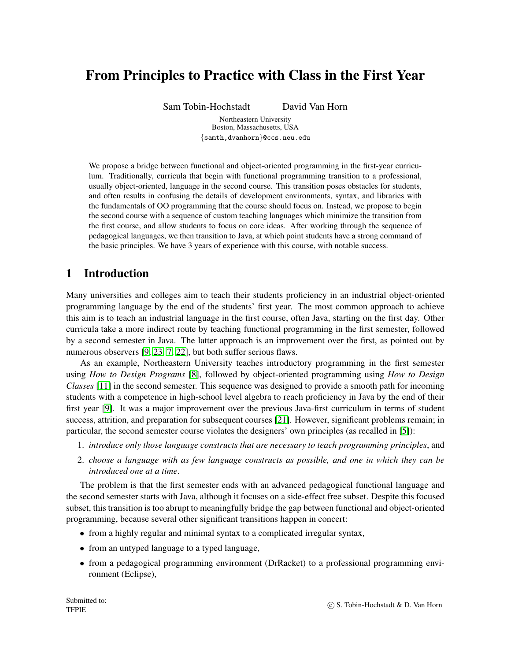# From Principles to Practice with Class in the First Year

Sam Tobin-Hochstadt David Van Horn

Northeastern University Boston, Massachusetts, USA {samth,dvanhorn}@ccs.neu.edu

We propose a bridge between functional and object-oriented programming in the first-year curriculum. Traditionally, curricula that begin with functional programming transition to a professional, usually object-oriented, language in the second course. This transition poses obstacles for students, and often results in confusing the details of development environments, syntax, and libraries with the fundamentals of OO programming that the course should focus on. Instead, we propose to begin the second course with a sequence of custom teaching languages which minimize the transition from the first course, and allow students to focus on core ideas. After working through the sequence of pedagogical languages, we then transition to Java, at which point students have a strong command of the basic principles. We have 3 years of experience with this course, with notable success.

# 1 Introduction

Many universities and colleges aim to teach their students proficiency in an industrial object-oriented programming language by the end of the students' first year. The most common approach to achieve this aim is to teach an industrial language in the first course, often Java, starting on the first day. Other curricula take a more indirect route by teaching functional programming in the first semester, followed by a second semester in Java. The latter approach is an improvement over the first, as pointed out by numerous observers [\[9,](#page-13-0) [23,](#page-14-0) [7,](#page-13-1) [22\]](#page-13-2), but both suffer serious flaws.

As an example, Northeastern University teaches introductory programming in the first semester using *How to Design Programs* [\[8\]](#page-13-3), followed by object-oriented programming using *How to Design Classes* [\[11\]](#page-13-4) in the second semester. This sequence was designed to provide a smooth path for incoming students with a competence in high-school level algebra to reach proficiency in Java by the end of their first year [\[9\]](#page-13-0). It was a major improvement over the previous Java-first curriculum in terms of student success, attrition, and preparation for subsequent courses [\[21\]](#page-13-5). However, significant problems remain; in particular, the second semester course violates the designers' own principles (as recalled in [\[5\]](#page-12-0)):

- 1. *introduce only those language constructs that are necessary to teach programming principles*, and
- 2. *choose a language with as few language constructs as possible, and one in which they can be introduced one at a time*.

The problem is that the first semester ends with an advanced pedagogical functional language and the second semester starts with Java, although it focuses on a side-effect free subset. Despite this focused subset, this transition is too abrupt to meaningfully bridge the gap between functional and object-oriented programming, because several other significant transitions happen in concert:

- from a highly regular and minimal syntax to a complicated irregular syntax,
- from an untyped language to a typed language,
- from a pedagogical programming environment (DrRacket) to a professional programming environment (Eclipse),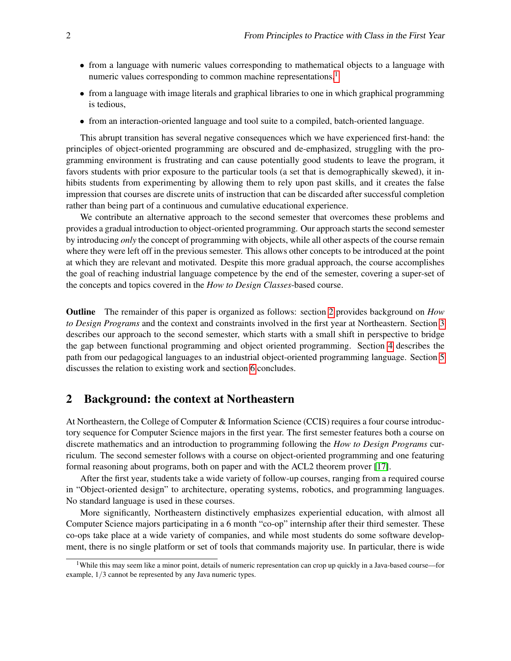- from a language with numeric values corresponding to mathematical objects to a language with numeric values corresponding to common machine representations,<sup>[1](#page-1-0)</sup>
- from a language with image literals and graphical libraries to one in which graphical programming is tedious,
- from an interaction-oriented language and tool suite to a compiled, batch-oriented language.

This abrupt transition has several negative consequences which we have experienced first-hand: the principles of object-oriented programming are obscured and de-emphasized, struggling with the programming environment is frustrating and can cause potentially good students to leave the program, it favors students with prior exposure to the particular tools (a set that is demographically skewed), it inhibits students from experimenting by allowing them to rely upon past skills, and it creates the false impression that courses are discrete units of instruction that can be discarded after successful completion rather than being part of a continuous and cumulative educational experience.

We contribute an alternative approach to the second semester that overcomes these problems and provides a gradual introduction to object-oriented programming. Our approach starts the second semester by introducing *only* the concept of programming with objects, while all other aspects of the course remain where they were left off in the previous semester. This allows other concepts to be introduced at the point at which they are relevant and motivated. Despite this more gradual approach, the course accomplishes the goal of reaching industrial language competence by the end of the semester, covering a super-set of the concepts and topics covered in the *How to Design Classes*-based course.

Outline The remainder of this paper is organized as follows: section [2](#page-1-1) provides background on *How to Design Programs* and the context and constraints involved in the first year at Northeastern. Section [3](#page-2-0) describes our approach to the second semester, which starts with a small shift in perspective to bridge the gap between functional programming and object oriented programming. Section [4](#page-7-0) describes the path from our pedagogical languages to an industrial object-oriented programming language. Section [5](#page-10-0) discusses the relation to existing work and section [6](#page-11-0) concludes.

## <span id="page-1-1"></span>2 Background: the context at Northeastern

At Northeastern, the College of Computer & Information Science (CCIS) requires a four course introductory sequence for Computer Science majors in the first year. The first semester features both a course on discrete mathematics and an introduction to programming following the *How to Design Programs* curriculum. The second semester follows with a course on object-oriented programming and one featuring formal reasoning about programs, both on paper and with the ACL2 theorem prover [\[17\]](#page-13-6).

After the first year, students take a wide variety of follow-up courses, ranging from a required course in "Object-oriented design" to architecture, operating systems, robotics, and programming languages. No standard language is used in these courses.

More significantly, Northeastern distinctively emphasizes experiential education, with almost all Computer Science majors participating in a 6 month "co-op" internship after their third semester. These co-ops take place at a wide variety of companies, and while most students do some software development, there is no single platform or set of tools that commands majority use. In particular, there is wide

<span id="page-1-0"></span><sup>&</sup>lt;sup>1</sup>While this may seem like a minor point, details of numeric representation can crop up quickly in a Java-based course—for example, 1/3 cannot be represented by any Java numeric types.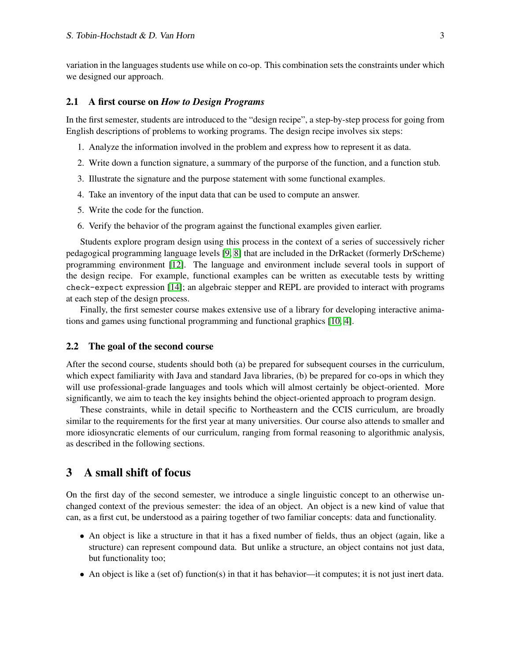variation in the languages students use while on co-op. This combination sets the constraints under which we designed our approach.

## 2.1 A first course on *How to Design Programs*

In the first semester, students are introduced to the "design recipe", a step-by-step process for going from English descriptions of problems to working programs. The design recipe involves six steps:

- 1. Analyze the information involved in the problem and express how to represent it as data.
- 2. Write down a function signature, a summary of the purporse of the function, and a function stub.
- 3. Illustrate the signature and the purpose statement with some functional examples.
- 4. Take an inventory of the input data that can be used to compute an answer.
- 5. Write the code for the function.
- 6. Verify the behavior of the program against the functional examples given earlier.

Students explore program design using this process in the context of a series of successively richer pedagogical programming language levels [\[9,](#page-13-0) [8\]](#page-13-3) that are included in the DrRacket (formerly DrScheme) programming environment [\[12\]](#page-13-7). The language and environment include several tools in support of the design recipe. For example, functional examples can be written as executable tests by writting check-expect expression [\[14\]](#page-13-8); an algebraic stepper and REPL are provided to interact with programs at each step of the design process.

Finally, the first semester course makes extensive use of a library for developing interactive animations and games using functional programming and functional graphics [\[10,](#page-13-9) [4\]](#page-12-1).

#### 2.2 The goal of the second course

After the second course, students should both (a) be prepared for subsequent courses in the curriculum, which expect familiarity with Java and standard Java libraries, (b) be prepared for co-ops in which they will use professional-grade languages and tools which will almost certainly be object-oriented. More significantly, we aim to teach the key insights behind the object-oriented approach to program design.

These constraints, while in detail specific to Northeastern and the CCIS curriculum, are broadly similar to the requirements for the first year at many universities. Our course also attends to smaller and more idiosyncratic elements of our curriculum, ranging from formal reasoning to algorithmic analysis, as described in the following sections.

# <span id="page-2-0"></span>3 A small shift of focus

On the first day of the second semester, we introduce a single linguistic concept to an otherwise unchanged context of the previous semester: the idea of an object. An object is a new kind of value that can, as a first cut, be understood as a pairing together of two familiar concepts: data and functionality.

- An object is like a structure in that it has a fixed number of fields, thus an object (again, like a structure) can represent compound data. But unlike a structure, an object contains not just data, but functionality too;
- An object is like a (set of) function(s) in that it has behavior—it computes; it is not just inert data.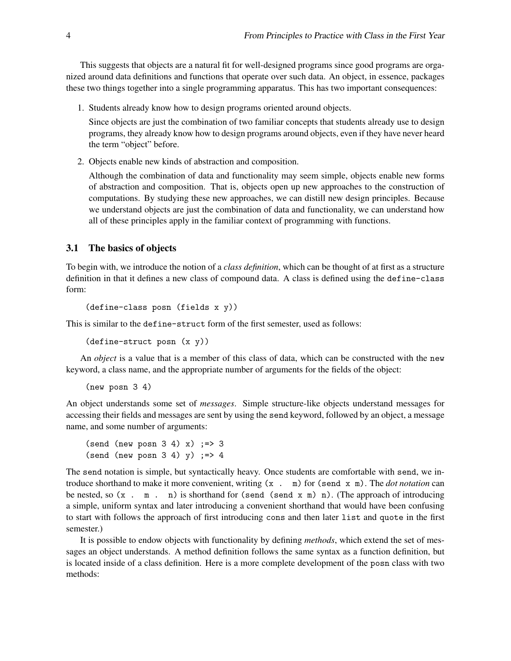This suggests that objects are a natural fit for well-designed programs since good programs are organized around data definitions and functions that operate over such data. An object, in essence, packages these two things together into a single programming apparatus. This has two important consequences:

1. Students already know how to design programs oriented around objects.

Since objects are just the combination of two familiar concepts that students already use to design programs, they already know how to design programs around objects, even if they have never heard the term "object" before.

2. Objects enable new kinds of abstraction and composition.

Although the combination of data and functionality may seem simple, objects enable new forms of abstraction and composition. That is, objects open up new approaches to the construction of computations. By studying these new approaches, we can distill new design principles. Because we understand objects are just the combination of data and functionality, we can understand how all of these principles apply in the familiar context of programming with functions.

## 3.1 The basics of objects

To begin with, we introduce the notion of a *class definition*, which can be thought of at first as a structure definition in that it defines a new class of compound data. A class is defined using the define-class form:

```
(define-class posn (fields x y))
```
This is similar to the define-struct form of the first semester, used as follows:

(define-struct posn (x y))

An *object* is a value that is a member of this class of data, which can be constructed with the new keyword, a class name, and the appropriate number of arguments for the fields of the object:

(new posn 3 4)

An object understands some set of *messages*. Simple structure-like objects understand messages for accessing their fields and messages are sent by using the send keyword, followed by an object, a message name, and some number of arguments:

```
(send (new posn 3 4) x) ; => 3
(send (new posn 3\ 4) y) \Rightarrow 4
```
The send notation is simple, but syntactically heavy. Once students are comfortable with send, we introduce shorthand to make it more convenient, writing (x . m) for (send x m). The *dot notation* can be nested, so  $(x \cdot m \cdot n)$  is shorthand for (send  $(x \cdot m) n$ ). (The approach of introducing a simple, uniform syntax and later introducing a convenient shorthand that would have been confusing to start with follows the approach of first introducing cons and then later list and quote in the first semester.)

It is possible to endow objects with functionality by defining *methods*, which extend the set of messages an object understands. A method definition follows the same syntax as a function definition, but is located inside of a class definition. Here is a more complete development of the posn class with two methods: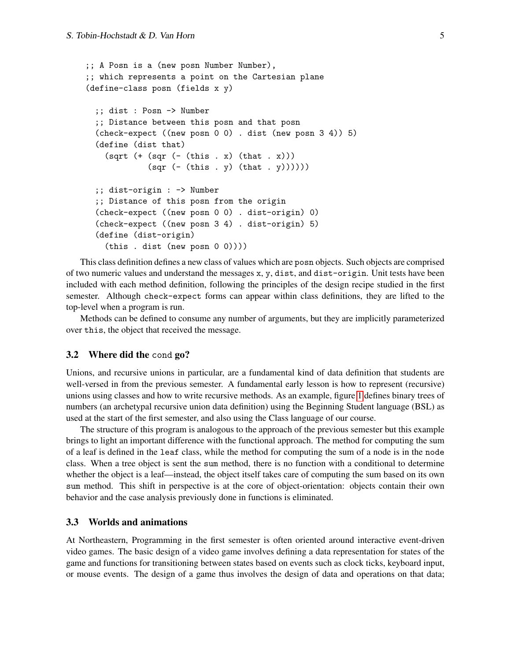```
;; A Posn is a (new posn Number Number),
;; which represents a point on the Cartesian plane
(define-class posn (fields x y)
  ;; dist : Posn -> Number
  ;; Distance between this posn and that posn
  (check-expect ((new posn 0 0) . dist (new posn 3 4)) 5)
  (define (dist that)
    (sqrt (+ (sqr (- (this . x) (that . x)))(sqr (- (this . y) (that . y))));; dist-origin : -> Number
  ;; Distance of this posn from the origin
  (check-expect ((new posn 0 0) . dist-origin) 0)
  (check-expect ((new posn 3 4) . dist-origin) 5)
  (define (dist-origin)
    (this . dist (new posn 0 0))))
```
This class definition defines a new class of values which are posn objects. Such objects are comprised of two numeric values and understand the messages x, y, dist, and dist-origin. Unit tests have been included with each method definition, following the principles of the design recipe studied in the first semester. Although check-expect forms can appear within class definitions, they are lifted to the top-level when a program is run.

Methods can be defined to consume any number of arguments, but they are implicitly parameterized over this, the object that received the message.

#### 3.2 Where did the cond go?

Unions, and recursive unions in particular, are a fundamental kind of data definition that students are well-versed in from the previous semester. A fundamental early lesson is how to represent (recursive) unions using classes and how to write recursive methods. As an example, figure [1](#page-5-0) defines binary trees of numbers (an archetypal recursive union data definition) using the Beginning Student language (BSL) as used at the start of the first semester, and also using the Class language of our course.

The structure of this program is analogous to the approach of the previous semester but this example brings to light an important difference with the functional approach. The method for computing the sum of a leaf is defined in the leaf class, while the method for computing the sum of a node is in the node class. When a tree object is sent the sum method, there is no function with a conditional to determine whether the object is a leaf—instead, the object itself takes care of computing the sum based on its own sum method. This shift in perspective is at the core of object-orientation: objects contain their own behavior and the case analysis previously done in functions is eliminated.

#### 3.3 Worlds and animations

At Northeastern, Programming in the first semester is often oriented around interactive event-driven video games. The basic design of a video game involves defining a data representation for states of the game and functions for transitioning between states based on events such as clock ticks, keyboard input, or mouse events. The design of a game thus involves the design of data and operations on that data;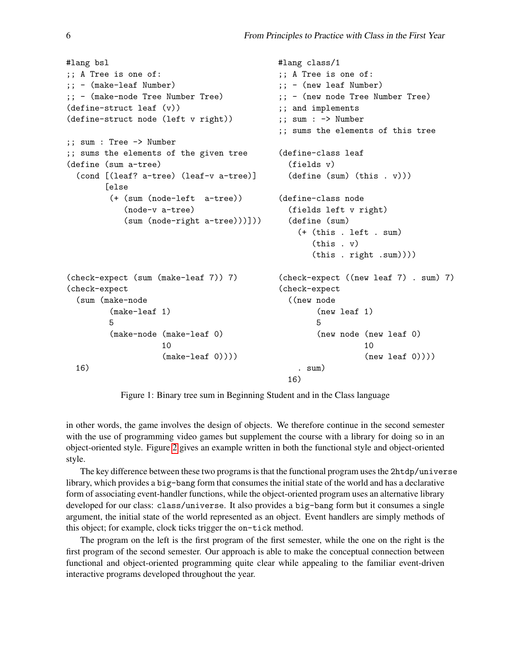```
#lang bsl
;; A Tree is one of:
;; - (make-leaf Number)
;; - (make-node Tree Number Tree)
(define-struct leaf (v))
(define-struct node (left v right))
;; sum : Tree -> Number
;; sums the elements of the given tree
(define (sum a-tree)
  (cond [(leaf? a-tree) (leaf-v a-tree)]
        [else
         (+ (sum (node-left a-tree))
            (node-v a-tree)
            (sum (node-right a-tree)))]))
(check-expect (sum (make-leaf 7)) 7)
(check-expect
  (sum (make-node
         (make-leaf 1)
         5
         (make-node (make-leaf 0)
                    10
                    (make-leaf 0))))16)
                                              #lang class/1
                                              ;; A Tree is one of:
                                              ;; - (new leaf Number)
                                              ;; - (new node Tree Number Tree)
                                              ;; and implements
                                              ;; sum : -> Number
                                              ;; sums the elements of this tree
                                              (define-class leaf
                                                (fields v)
                                                (define (sum) (this . v)))
                                              (define-class node
                                                (fields left v right)
                                                (define (sum)
                                                  (+ (this . left . sum)
                                                     (this . v)
                                                     (this . right .sum))))
                                              (check-expect ((new leaf 7) . sum) 7)
                                              (check-expect
                                                ((new node
                                                      (new leaf 1)
                                                      5
                                                      (new node (new leaf 0)
                                                                10
                                                                (new leaf 0)))). sum)
                                                16)
```
<span id="page-5-0"></span>Figure 1: Binary tree sum in Beginning Student and in the Class language

in other words, the game involves the design of objects. We therefore continue in the second semester with the use of programming video games but supplement the course with a library for doing so in an object-oriented style. Figure [2](#page-6-0) gives an example written in both the functional style and object-oriented style.

The key difference between these two programs is that the functional program uses the 2htdp/universe library, which provides a big-bang form that consumes the initial state of the world and has a declarative form of associating event-handler functions, while the object-oriented program uses an alternative library developed for our class: class/universe. It also provides a big-bang form but it consumes a single argument, the initial state of the world represented as an object. Event handlers are simply methods of this object; for example, clock ticks trigger the on-tick method.

The program on the left is the first program of the first semester, while the one on the right is the first program of the second semester. Our approach is able to make the conceptual connection between functional and object-oriented programming quite clear while appealing to the familiar event-driven interactive programs developed throughout the year.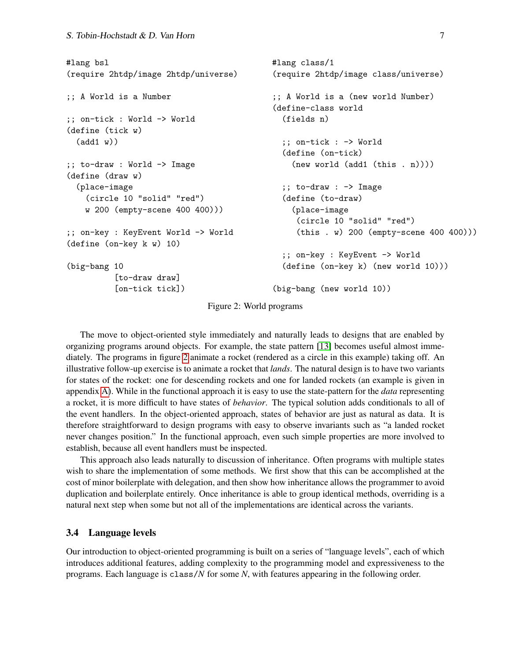```
#lang bsl
(require 2htdp/image 2htdp/universe)
;; A World is a Number
;; on-tick : World -> World
(define (tick w)
  (add1 w))
;; to-draw : World -> Image
(define (draw w)
  (place-image
    (circle 10 "solid" "red")
    w 200 (empty-scene 400 400)))
;; on-key : KeyEvent World -> World
(define (on-key k w) 10)
(big-bang 10
          [to-draw draw]
          [on-tick tick])
                                            #lang class/1
                                            (require 2htdp/image class/universe)
                                            ;; A World is a (new world Number)
                                            (define-class world
                                              (fields n)
                                              ;; on-tick : -> World
                                              (define (on-tick)
                                                (new world (add1 (this . n))))
                                              ;; to-draw : -> Image
                                              (define (to-draw)
                                                (place-image
                                                 (circle 10 "solid" "red")
                                                 (this . w) 200 (empty-scene 400 400)))
                                              ;; on-key : KeyEvent -> World
                                              (define (on-key k) (new world 10)))
                                            (big-bang (new world 10))
```
<span id="page-6-0"></span>Figure 2: World programs

The move to object-oriented style immediately and naturally leads to designs that are enabled by organizing programs around objects. For example, the state pattern [\[13\]](#page-13-10) becomes useful almost immediately. The programs in figure [2](#page-6-0) animate a rocket (rendered as a circle in this example) taking off. An illustrative follow-up exercise is to animate a rocket that *lands*. The natural design is to have two variants for states of the rocket: one for descending rockets and one for landed rockets (an example is given in appendix [A\)](#page-15-0). While in the functional approach it is easy to use the state-pattern for the *data* representing a rocket, it is more difficult to have states of *behavior*. The typical solution adds conditionals to all of the event handlers. In the object-oriented approach, states of behavior are just as natural as data. It is therefore straightforward to design programs with easy to observe invariants such as "a landed rocket never changes position." In the functional approach, even such simple properties are more involved to establish, because all event handlers must be inspected.

This approach also leads naturally to discussion of inheritance. Often programs with multiple states wish to share the implementation of some methods. We first show that this can be accomplished at the cost of minor boilerplate with delegation, and then show how inheritance allows the programmer to avoid duplication and boilerplate entirely. Once inheritance is able to group identical methods, overriding is a natural next step when some but not all of the implementations are identical across the variants.

#### 3.4 Language levels

Our introduction to object-oriented programming is built on a series of "language levels", each of which introduces additional features, adding complexity to the programming model and expressiveness to the programs. Each language is class/*N* for some *N*, with features appearing in the following order.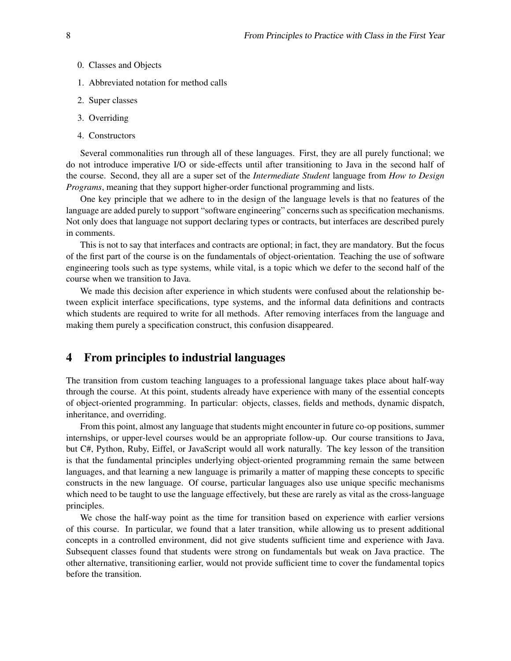- 0. Classes and Objects
- 1. Abbreviated notation for method calls
- 2. Super classes
- 3. Overriding
- 4. Constructors

Several commonalities run through all of these languages. First, they are all purely functional; we do not introduce imperative I/O or side-effects until after transitioning to Java in the second half of the course. Second, they all are a super set of the *Intermediate Student* language from *How to Design Programs*, meaning that they support higher-order functional programming and lists.

One key principle that we adhere to in the design of the language levels is that no features of the language are added purely to support "software engineering" concerns such as specification mechanisms. Not only does that language not support declaring types or contracts, but interfaces are described purely in comments.

This is not to say that interfaces and contracts are optional; in fact, they are mandatory. But the focus of the first part of the course is on the fundamentals of object-orientation. Teaching the use of software engineering tools such as type systems, while vital, is a topic which we defer to the second half of the course when we transition to Java.

We made this decision after experience in which students were confused about the relationship between explicit interface specifications, type systems, and the informal data definitions and contracts which students are required to write for all methods. After removing interfaces from the language and making them purely a specification construct, this confusion disappeared.

# <span id="page-7-0"></span>4 From principles to industrial languages

The transition from custom teaching languages to a professional language takes place about half-way through the course. At this point, students already have experience with many of the essential concepts of object-oriented programming. In particular: objects, classes, fields and methods, dynamic dispatch, inheritance, and overriding.

From this point, almost any language that students might encounter in future co-op positions, summer internships, or upper-level courses would be an appropriate follow-up. Our course transitions to Java, but C#, Python, Ruby, Eiffel, or JavaScript would all work naturally. The key lesson of the transition is that the fundamental principles underlying object-oriented programming remain the same between languages, and that learning a new language is primarily a matter of mapping these concepts to specific constructs in the new language. Of course, particular languages also use unique specific mechanisms which need to be taught to use the language effectively, but these are rarely as vital as the cross-language principles.

We chose the half-way point as the time for transition based on experience with earlier versions of this course. In particular, we found that a later transition, while allowing us to present additional concepts in a controlled environment, did not give students sufficient time and experience with Java. Subsequent classes found that students were strong on fundamentals but weak on Java practice. The other alternative, transitioning earlier, would not provide sufficient time to cover the fundamental topics before the transition.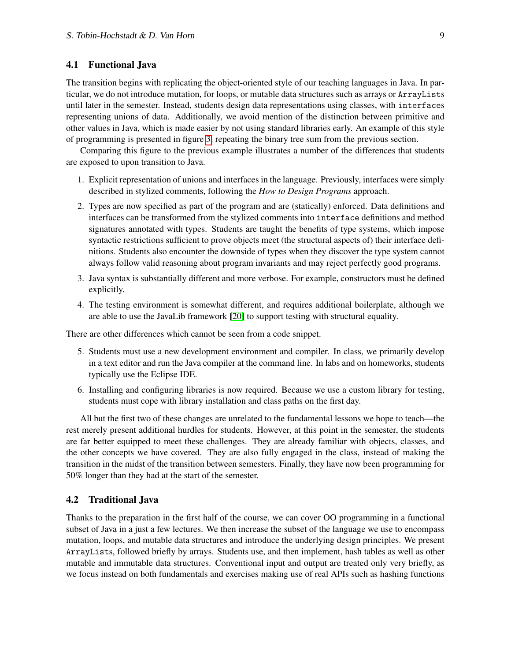## 4.1 Functional Java

The transition begins with replicating the object-oriented style of our teaching languages in Java. In particular, we do not introduce mutation, for loops, or mutable data structures such as arrays or ArrayLists until later in the semester. Instead, students design data representations using classes, with interfaces representing unions of data. Additionally, we avoid mention of the distinction between primitive and other values in Java, which is made easier by not using standard libraries early. An example of this style of programming is presented in figure [3,](#page-9-0) repeating the binary tree sum from the previous section.

Comparing this figure to the previous example illustrates a number of the differences that students are exposed to upon transition to Java.

- 1. Explicit representation of unions and interfaces in the language. Previously, interfaces were simply described in stylized comments, following the *How to Design Programs* approach.
- 2. Types are now specified as part of the program and are (statically) enforced. Data definitions and interfaces can be transformed from the stylized comments into interface definitions and method signatures annotated with types. Students are taught the benefits of type systems, which impose syntactic restrictions sufficient to prove objects meet (the structural aspects of) their interface definitions. Students also encounter the downside of types when they discover the type system cannot always follow valid reasoning about program invariants and may reject perfectly good programs.
- 3. Java syntax is substantially different and more verbose. For example, constructors must be defined explicitly.
- 4. The testing environment is somewhat different, and requires additional boilerplate, although we are able to use the JavaLib framework [\[20\]](#page-13-11) to support testing with structural equality.

There are other differences which cannot be seen from a code snippet.

- 5. Students must use a new development environment and compiler. In class, we primarily develop in a text editor and run the Java compiler at the command line. In labs and on homeworks, students typically use the Eclipse IDE.
- 6. Installing and configuring libraries is now required. Because we use a custom library for testing, students must cope with library installation and class paths on the first day.

All but the first two of these changes are unrelated to the fundamental lessons we hope to teach—the rest merely present additional hurdles for students. However, at this point in the semester, the students are far better equipped to meet these challenges. They are already familiar with objects, classes, and the other concepts we have covered. They are also fully engaged in the class, instead of making the transition in the midst of the transition between semesters. Finally, they have now been programming for 50% longer than they had at the start of the semester.

#### 4.2 Traditional Java

Thanks to the preparation in the first half of the course, we can cover OO programming in a functional subset of Java in a just a few lectures. We then increase the subset of the language we use to encompass mutation, loops, and mutable data structures and introduce the underlying design principles. We present ArrayLists, followed briefly by arrays. Students use, and then implement, hash tables as well as other mutable and immutable data structures. Conventional input and output are treated only very briefly, as we focus instead on both fundamentals and exercises making use of real APIs such as hashing functions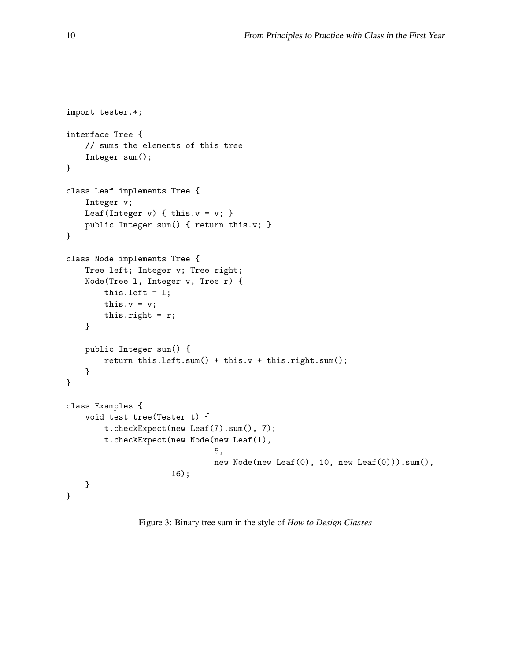```
import tester.*;
interface Tree {
    // sums the elements of this tree
    Integer sum();
}
class Leaf implements Tree {
    Integer v;
    Leaf(Integer v) { this.v = v; }
    public Integer sum() { return this.v; }
}
class Node implements Tree {
    Tree left; Integer v; Tree right;
    Node(Tree l, Integer v, Tree r) {
        this. left = 1;
        this.v = v;
        this.right = r;
    }
    public Integer sum() {
        return this.left.sum() + this.v + this.right.sum();
    }
}
class Examples {
    void test_tree(Tester t) {
        t.checkExpect(new Leaf(7).sum(), 7);
        t.checkExpect(new Node(new Leaf(1),
                                5,
                                new Node(new Leaf(0), 10, new Leaf(0))).sum(),
                      16);
    }
}
```
<span id="page-9-0"></span>Figure 3: Binary tree sum in the style of *How to Design Classes*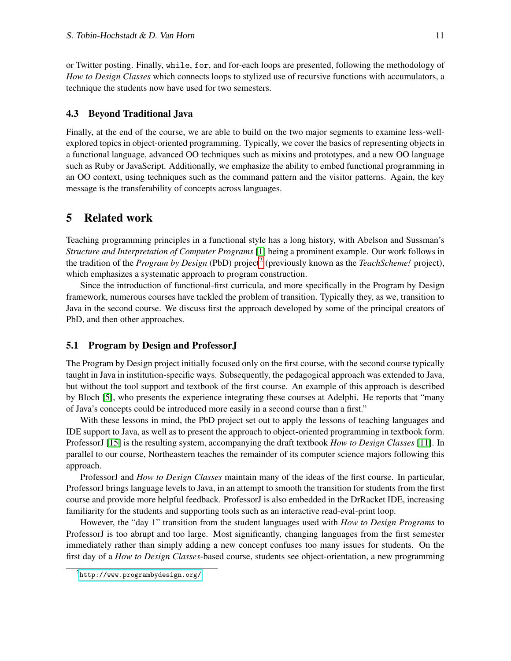or Twitter posting. Finally, while, for, and for-each loops are presented, following the methodology of *How to Design Classes* which connects loops to stylized use of recursive functions with accumulators, a technique the students now have used for two semesters.

#### 4.3 Beyond Traditional Java

Finally, at the end of the course, we are able to build on the two major segments to examine less-wellexplored topics in object-oriented programming. Typically, we cover the basics of representing objects in a functional language, advanced OO techniques such as mixins and prototypes, and a new OO language such as Ruby or JavaScript. Additionally, we emphasize the ability to embed functional programming in an OO context, using techniques such as the command pattern and the visitor patterns. Again, the key message is the transferability of concepts across languages.

# <span id="page-10-0"></span>5 Related work

Teaching programming principles in a functional style has a long history, with Abelson and Sussman's *Structure and Interpretation of Computer Programs* [\[1\]](#page-12-2) being a prominent example. Our work follows in the tradition of the *Program by Design* (PbD) project[2](#page-10-1) (previously known as the *TeachScheme!* project), which emphasizes a systematic approach to program construction.

Since the introduction of functional-first curricula, and more specifically in the Program by Design framework, numerous courses have tackled the problem of transition. Typically they, as we, transition to Java in the second course. We discuss first the approach developed by some of the principal creators of PbD, and then other approaches.

#### 5.1 Program by Design and ProfessorJ

The Program by Design project initially focused only on the first course, with the second course typically taught in Java in institution-specific ways. Subsequently, the pedagogical approach was extended to Java, but without the tool support and textbook of the first course. An example of this approach is described by Bloch [\[5\]](#page-12-0), who presents the experience integrating these courses at Adelphi. He reports that "many of Java's concepts could be introduced more easily in a second course than a first."

With these lessons in mind, the PbD project set out to apply the lessons of teaching languages and IDE support to Java, as well as to present the approach to object-oriented programming in textbook form. ProfessorJ [\[15\]](#page-13-12) is the resulting system, accompanying the draft textbook *How to Design Classes* [\[11\]](#page-13-4). In parallel to our course, Northeastern teaches the remainder of its computer science majors following this approach.

ProfessorJ and *How to Design Classes* maintain many of the ideas of the first course. In particular, ProfessorJ brings language levels to Java, in an attempt to smooth the transition for students from the first course and provide more helpful feedback. ProfessorJ is also embedded in the DrRacket IDE, increasing familiarity for the students and supporting tools such as an interactive read-eval-print loop.

However, the "day 1" transition from the student languages used with *How to Design Programs* to ProfessorJ is too abrupt and too large. Most significantly, changing languages from the first semester immediately rather than simply adding a new concept confuses too many issues for students. On the first day of a *How to Design Classes*-based course, students see object-orientation, a new programming

<span id="page-10-1"></span><sup>2</sup><http://www.programbydesign.org/>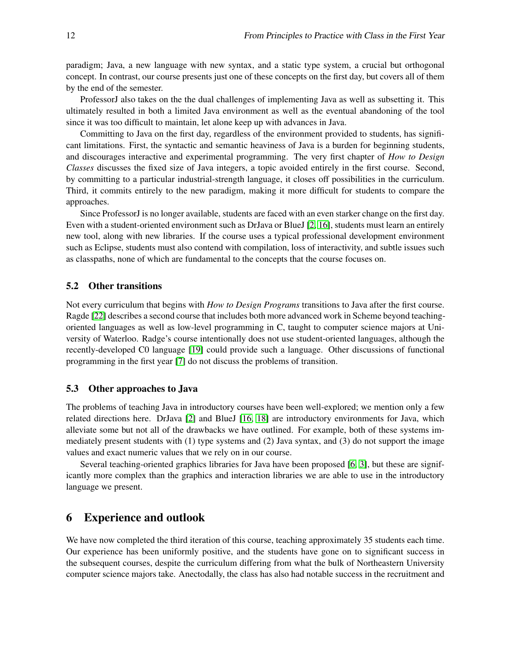paradigm; Java, a new language with new syntax, and a static type system, a crucial but orthogonal concept. In contrast, our course presents just one of these concepts on the first day, but covers all of them by the end of the semester.

ProfessorJ also takes on the the dual challenges of implementing Java as well as subsetting it. This ultimately resulted in both a limited Java environment as well as the eventual abandoning of the tool since it was too difficult to maintain, let alone keep up with advances in Java.

Committing to Java on the first day, regardless of the environment provided to students, has significant limitations. First, the syntactic and semantic heaviness of Java is a burden for beginning students, and discourages interactive and experimental programming. The very first chapter of *How to Design Classes* discusses the fixed size of Java integers, a topic avoided entirely in the first course. Second, by committing to a particular industrial-strength language, it closes off possibilities in the curriculum. Third, it commits entirely to the new paradigm, making it more difficult for students to compare the approaches.

Since ProfessorJ is no longer available, students are faced with an even starker change on the first day. Even with a student-oriented environment such as DrJava or BlueJ [\[2,](#page-12-3) [16\]](#page-13-13), students must learn an entirely new tool, along with new libraries. If the course uses a typical professional development environment such as Eclipse, students must also contend with compilation, loss of interactivity, and subtle issues such as classpaths, none of which are fundamental to the concepts that the course focuses on.

## 5.2 Other transitions

Not every curriculum that begins with *How to Design Programs* transitions to Java after the first course. Ragde [\[22\]](#page-13-2) describes a second course that includes both more advanced work in Scheme beyond teachingoriented languages as well as low-level programming in C, taught to computer science majors at University of Waterloo. Radge's course intentionally does not use student-oriented languages, although the recently-developed C0 language [\[19\]](#page-13-14) could provide such a language. Other discussions of functional programming in the first year [\[7\]](#page-13-1) do not discuss the problems of transition.

#### 5.3 Other approaches to Java

The problems of teaching Java in introductory courses have been well-explored; we mention only a few related directions here. DrJava [\[2\]](#page-12-3) and BlueJ [\[16,](#page-13-13) [18\]](#page-13-15) are introductory environments for Java, which alleviate some but not all of the drawbacks we have outlined. For example, both of these systems immediately present students with (1) type systems and (2) Java syntax, and (3) do not support the image values and exact numeric values that we rely on in our course.

Several teaching-oriented graphics libraries for Java have been proposed [\[6,](#page-13-16) [3\]](#page-12-4), but these are significantly more complex than the graphics and interaction libraries we are able to use in the introductory language we present.

## <span id="page-11-0"></span>6 Experience and outlook

We have now completed the third iteration of this course, teaching approximately 35 students each time. Our experience has been uniformly positive, and the students have gone on to significant success in the subsequent courses, despite the curriculum differing from what the bulk of Northeastern University computer science majors take. Anectodally, the class has also had notable success in the recruitment and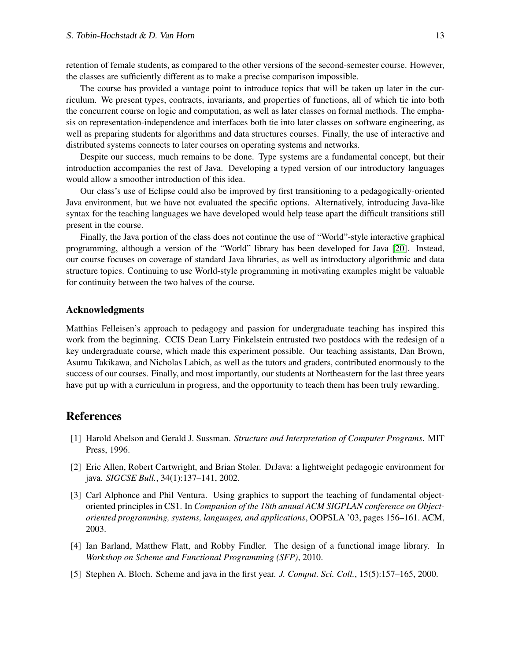retention of female students, as compared to the other versions of the second-semester course. However, the classes are sufficiently different as to make a precise comparison impossible.

The course has provided a vantage point to introduce topics that will be taken up later in the curriculum. We present types, contracts, invariants, and properties of functions, all of which tie into both the concurrent course on logic and computation, as well as later classes on formal methods. The emphasis on representation-independence and interfaces both tie into later classes on software engineering, as well as preparing students for algorithms and data structures courses. Finally, the use of interactive and distributed systems connects to later courses on operating systems and networks.

Despite our success, much remains to be done. Type systems are a fundamental concept, but their introduction accompanies the rest of Java. Developing a typed version of our introductory languages would allow a smoother introduction of this idea.

Our class's use of Eclipse could also be improved by first transitioning to a pedagogically-oriented Java environment, but we have not evaluated the specific options. Alternatively, introducing Java-like syntax for the teaching languages we have developed would help tease apart the difficult transitions still present in the course.

Finally, the Java portion of the class does not continue the use of "World"-style interactive graphical programming, although a version of the "World" library has been developed for Java [\[20\]](#page-13-11). Instead, our course focuses on coverage of standard Java libraries, as well as introductory algorithmic and data structure topics. Continuing to use World-style programming in motivating examples might be valuable for continuity between the two halves of the course.

## Acknowledgments

Matthias Felleisen's approach to pedagogy and passion for undergraduate teaching has inspired this work from the beginning. CCIS Dean Larry Finkelstein entrusted two postdocs with the redesign of a key undergraduate course, which made this experiment possible. Our teaching assistants, Dan Brown, Asumu Takikawa, and Nicholas Labich, as well as the tutors and graders, contributed enormously to the success of our courses. Finally, and most importantly, our students at Northeastern for the last three years have put up with a curriculum in progress, and the opportunity to teach them has been truly rewarding.

## **References**

- <span id="page-12-2"></span>[1] Harold Abelson and Gerald J. Sussman. *Structure and Interpretation of Computer Programs*. MIT Press, 1996.
- <span id="page-12-3"></span>[2] Eric Allen, Robert Cartwright, and Brian Stoler. DrJava: a lightweight pedagogic environment for java. *SIGCSE Bull.*, 34(1):137–141, 2002.
- <span id="page-12-4"></span>[3] Carl Alphonce and Phil Ventura. Using graphics to support the teaching of fundamental objectoriented principles in CS1. In *Companion of the 18th annual ACM SIGPLAN conference on Objectoriented programming, systems, languages, and applications*, OOPSLA '03, pages 156–161. ACM, 2003.
- <span id="page-12-1"></span>[4] Ian Barland, Matthew Flatt, and Robby Findler. The design of a functional image library. In *Workshop on Scheme and Functional Programming (SFP)*, 2010.
- <span id="page-12-0"></span>[5] Stephen A. Bloch. Scheme and java in the first year. *J. Comput. Sci. Coll.*, 15(5):157–165, 2000.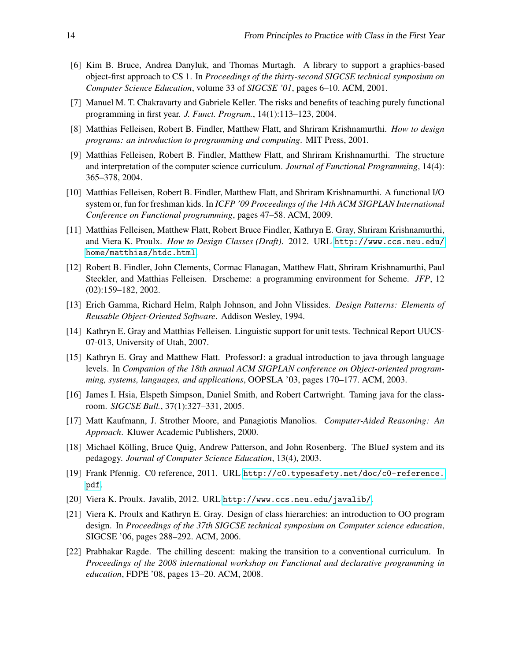- <span id="page-13-16"></span>[6] Kim B. Bruce, Andrea Danyluk, and Thomas Murtagh. A library to support a graphics-based object-first approach to CS 1. In *Proceedings of the thirty-second SIGCSE technical symposium on Computer Science Education*, volume 33 of *SIGCSE '01*, pages 6–10. ACM, 2001.
- <span id="page-13-1"></span>[7] Manuel M. T. Chakravarty and Gabriele Keller. The risks and benefits of teaching purely functional programming in first year. *J. Funct. Program.*, 14(1):113–123, 2004.
- <span id="page-13-3"></span>[8] Matthias Felleisen, Robert B. Findler, Matthew Flatt, and Shriram Krishnamurthi. *How to design programs: an introduction to programming and computing*. MIT Press, 2001.
- <span id="page-13-0"></span>[9] Matthias Felleisen, Robert B. Findler, Matthew Flatt, and Shriram Krishnamurthi. The structure and interpretation of the computer science curriculum. *Journal of Functional Programming*, 14(4): 365–378, 2004.
- <span id="page-13-9"></span>[10] Matthias Felleisen, Robert B. Findler, Matthew Flatt, and Shriram Krishnamurthi. A functional I/O system or, fun for freshman kids. In *ICFP '09 Proceedings of the 14th ACM SIGPLAN International Conference on Functional programming*, pages 47–58. ACM, 2009.
- <span id="page-13-4"></span>[11] Matthias Felleisen, Matthew Flatt, Robert Bruce Findler, Kathryn E. Gray, Shriram Krishnamurthi, and Viera K. Proulx. *How to Design Classes (Draft)*. 2012. URL [http://www.ccs.neu.edu/](http://www.ccs.neu.edu/home/matthias/htdc.html) [home/matthias/htdc.html](http://www.ccs.neu.edu/home/matthias/htdc.html).
- <span id="page-13-7"></span>[12] Robert B. Findler, John Clements, Cormac Flanagan, Matthew Flatt, Shriram Krishnamurthi, Paul Steckler, and Matthias Felleisen. Drscheme: a programming environment for Scheme. *JFP*, 12 (02):159–182, 2002.
- <span id="page-13-10"></span>[13] Erich Gamma, Richard Helm, Ralph Johnson, and John Vlissides. *Design Patterns: Elements of Reusable Object-Oriented Software*. Addison Wesley, 1994.
- <span id="page-13-8"></span>[14] Kathryn E. Gray and Matthias Felleisen. Linguistic support for unit tests. Technical Report UUCS-07-013, University of Utah, 2007.
- <span id="page-13-12"></span>[15] Kathryn E. Gray and Matthew Flatt. ProfessorJ: a gradual introduction to java through language levels. In *Companion of the 18th annual ACM SIGPLAN conference on Object-oriented programming, systems, languages, and applications*, OOPSLA '03, pages 170–177. ACM, 2003.
- <span id="page-13-13"></span>[16] James I. Hsia, Elspeth Simpson, Daniel Smith, and Robert Cartwright. Taming java for the classroom. *SIGCSE Bull.*, 37(1):327–331, 2005.
- <span id="page-13-6"></span>[17] Matt Kaufmann, J. Strother Moore, and Panagiotis Manolios. *Computer-Aided Reasoning: An Approach*. Kluwer Academic Publishers, 2000.
- <span id="page-13-15"></span>[18] Michael Kolling, Bruce Quig, Andrew Patterson, and John Rosenberg. The BlueJ system and its ¨ pedagogy. *Journal of Computer Science Education*, 13(4), 2003.
- <span id="page-13-14"></span>[19] Frank Pfennig. C0 reference, 2011. URL [http://c0.typesafety.net/doc/c0-reference.](http://c0.typesafety.net/doc/c0-reference.pdf) [pdf](http://c0.typesafety.net/doc/c0-reference.pdf).
- <span id="page-13-11"></span>[20] Viera K. Proulx. Javalib, 2012. URL <http://www.ccs.neu.edu/javalib/>.
- <span id="page-13-5"></span>[21] Viera K. Proulx and Kathryn E. Gray. Design of class hierarchies: an introduction to OO program design. In *Proceedings of the 37th SIGCSE technical symposium on Computer science education*, SIGCSE '06, pages 288–292. ACM, 2006.
- <span id="page-13-2"></span>[22] Prabhakar Ragde. The chilling descent: making the transition to a conventional curriculum. In *Proceedings of the 2008 international workshop on Functional and declarative programming in education*, FDPE '08, pages 13–20. ACM, 2008.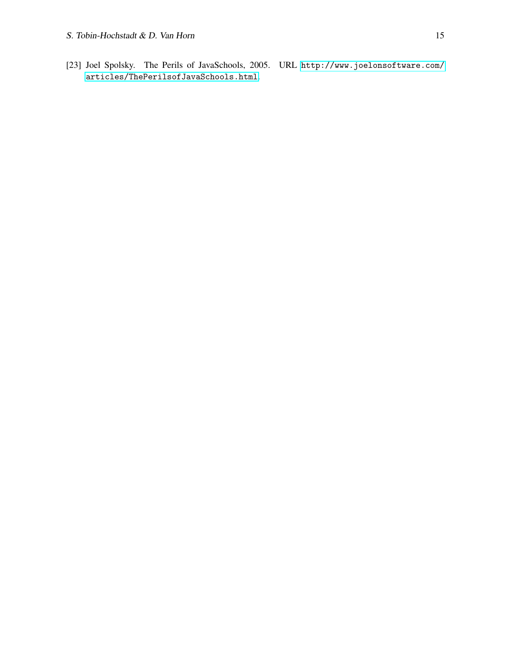<span id="page-14-0"></span>[23] Joel Spolsky. The Perils of JavaSchools, 2005. URL [http://www.joelonsoftware.com/](http://www.joelonsoftware.com/articles/ThePerilsofJavaSchools.html) [articles/ThePerilsofJavaSchools.html](http://www.joelonsoftware.com/articles/ThePerilsofJavaSchools.html).